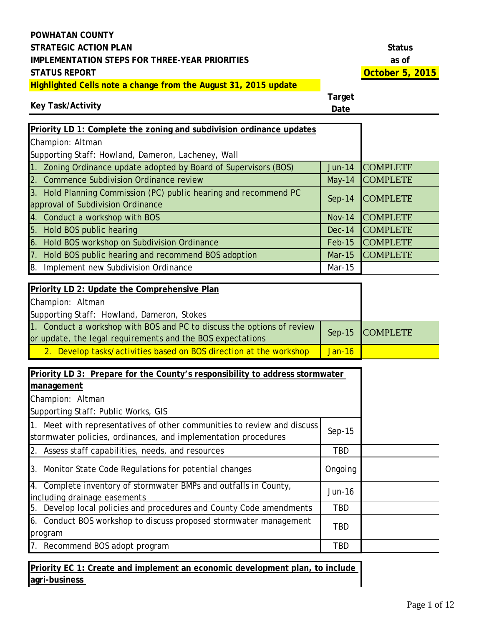#### **Key Task/Activity**

**Target Date**

| Priority LD 1: Complete the zoning and subdivision ordinance updates                                  |               |                 |
|-------------------------------------------------------------------------------------------------------|---------------|-----------------|
| Champion: Altman                                                                                      |               |                 |
| Supporting Staff: Howland, Dameron, Lacheney, Wall                                                    |               |                 |
| Zoning Ordinance update adopted by Board of Supervisors (BOS)<br>1 <sub>1</sub>                       | <b>Jun-14</b> | <b>COMPLETE</b> |
| 2. Commence Subdivision Ordinance review                                                              | $May-14$      | <b>COMPLETE</b> |
| 3. Hold Planning Commission (PC) public hearing and recommend PC<br>approval of Subdivision Ordinance | $Sep-14$      | <b>COMPLETE</b> |
| 4. Conduct a workshop with BOS                                                                        | <b>Nov-14</b> | <b>COMPLETE</b> |
| 5. Hold BOS public hearing                                                                            | Dec-14        | <b>COMPLETE</b> |
| 6. Hold BOS workshop on Subdivision Ordinance                                                         | $Feb-15$      | <b>COMPLETE</b> |
| Hold BOS public hearing and recommend BOS adoption<br>7 <sub>1</sub>                                  | <b>Mar-15</b> | <b>COMPLETE</b> |
| Implement new Subdivision Ordinance<br>8.                                                             | Mar-15        |                 |
|                                                                                                       |               |                 |
| <b>Priority ID 2: Undate the Comprehensive Plan</b>                                                   |               |                 |

| Priority LD 2: Update the Comprehensive Plan                           |          |                 |
|------------------------------------------------------------------------|----------|-----------------|
| Champion: Altman                                                       |          |                 |
| Supporting Staff: Howland, Dameron, Stokes                             |          |                 |
| 1. Conduct a workshop with BOS and PC to discuss the options of review |          | Sep-15 COMPLETE |
| or update, the legal requirements and the BOS expectations             |          |                 |
| 2. Develop tasks/activities based on BOS direction at the workshop     | $Jan-16$ |                 |

| Priority LD 3: Prepare for the County's responsibility to address stormwater                                                              |            |  |
|-------------------------------------------------------------------------------------------------------------------------------------------|------------|--|
| management                                                                                                                                |            |  |
| Champion: Altman                                                                                                                          |            |  |
| Supporting Staff: Public Works, GIS                                                                                                       |            |  |
| 1. Meet with representatives of other communities to review and discuss<br>stormwater policies, ordinances, and implementation procedures | $Sep-15$   |  |
| 2. Assess staff capabilities, needs, and resources                                                                                        | TBD        |  |
| 3. Monitor State Code Regulations for potential changes                                                                                   | Ongoing    |  |
| 4. Complete inventory of stormwater BMPs and outfalls in County,<br>including drainage easements                                          | Jun-16     |  |
| 5. Develop local policies and procedures and County Code amendments                                                                       | <b>TBD</b> |  |
| 6. Conduct BOS workshop to discuss proposed stormwater management<br>program                                                              | TBD        |  |
| 7. Recommend BOS adopt program                                                                                                            | <b>TBD</b> |  |

**Priority EC 1: Create and implement an economic development plan, to include agri-business**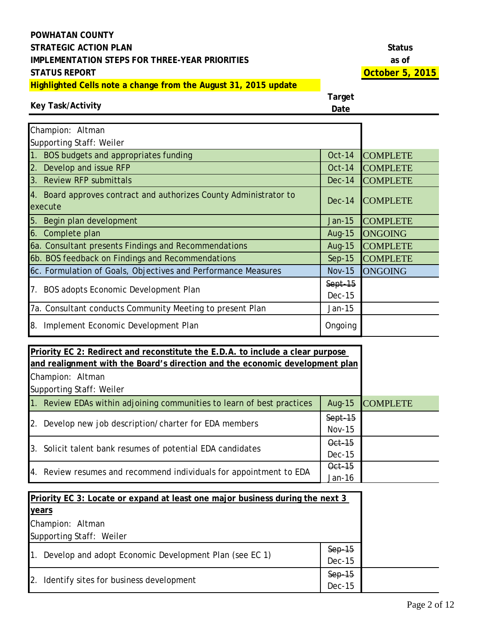## **Key Task/Activity**

| Champion: Altman                                                             |                            |                 |
|------------------------------------------------------------------------------|----------------------------|-----------------|
| Supporting Staff: Weiler                                                     |                            |                 |
| 1. BOS budgets and appropriates funding                                      | $Oct-14$                   | <b>COMPLETE</b> |
| 2. Develop and issue RFP                                                     | $Oct-14$                   | <b>COMPLETE</b> |
| 3. Review RFP submittals                                                     | $Dec-14$                   | <b>COMPLETE</b> |
| 4. Board approves contract and authorizes County Administrator to<br>execute | $Dec-14$                   | <b>COMPLETE</b> |
| 5. Begin plan development                                                    | Jan-15                     | <b>COMPLETE</b> |
| 6. Complete plan                                                             | Aug-15                     | <b>ONGOING</b>  |
| 6a. Consultant presents Findings and Recommendations                         | Aug-15                     | <b>COMPLETE</b> |
| 6b. BOS feedback on Findings and Recommendations                             | $Sep-15$                   | <b>COMPLETE</b> |
| 6c. Formulation of Goals, Objectives and Performance Measures                | <b>Nov-15</b>              | <b>ONGOING</b>  |
| 7. BOS adopts Economic Development Plan                                      | $Sept-15$<br><b>Dec-15</b> |                 |
| 7a. Consultant conducts Community Meeting to present Plan                    | Jan-15                     |                 |
| 8. Implement Economic Development Plan                                       | Ongoing                    |                 |

| Priority EC 2: Redirect and reconstitute the E.D.A. to include a clear purpose |           |                 |
|--------------------------------------------------------------------------------|-----------|-----------------|
| and realignment with the Board's direction and the economic development plan   |           |                 |
| Champion: Altman                                                               |           |                 |
| Supporting Staff: Weiler                                                       |           |                 |
| 1. Review EDAs within adjoining communities to learn of best practices         | Aug-15    | <b>COMPLETE</b> |
| 2. Develop new job description/charter for EDA members                         | $Sept-15$ |                 |
|                                                                                | $Nov-15$  |                 |
| 3. Solicit talent bank resumes of potential EDA candidates                     | Oct-15    |                 |
|                                                                                | $Dec-15$  |                 |
| Oct-15<br>4. Review resumes and recommend individuals for appointment to EDA   |           |                 |
|                                                                                | Jan-16    |                 |

| Priority EC 3: Locate or expand at least one major business during the next 3 |               |  |
|-------------------------------------------------------------------------------|---------------|--|
| years                                                                         |               |  |
| Champion: Altman                                                              |               |  |
| Supporting Staff: Weiler                                                      |               |  |
| 1. Develop and adopt Economic Development Plan (see EC 1)                     | $Sep-15$      |  |
|                                                                               | <b>Dec-15</b> |  |
| 2. Identify sites for business development                                    | $Sep-15$      |  |
|                                                                               | <b>Dec-15</b> |  |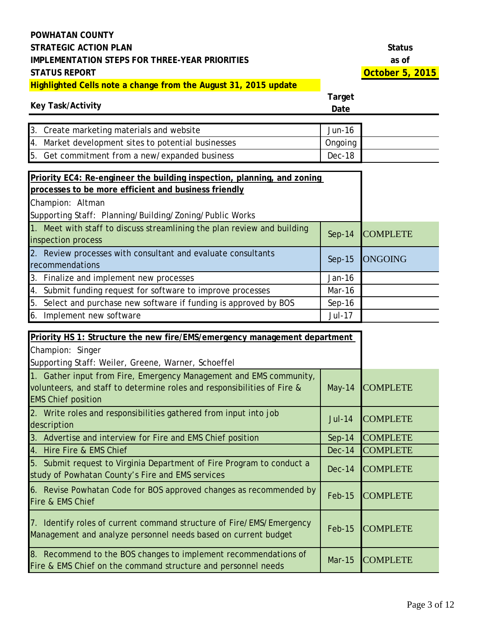#### **Key Task/Activity**

| 3. Create marketing materials and website           | Jun-16   |
|-----------------------------------------------------|----------|
| 4. Market development sites to potential businesses | Ongoing  |
| 5. Get commitment from a new/expanded business      | $Dec-18$ |

| Priority EC4: Re-engineer the building inspection, planning, and zoning<br>processes to be more efficient and business friendly |               |                 |
|---------------------------------------------------------------------------------------------------------------------------------|---------------|-----------------|
| Champion: Altman                                                                                                                |               |                 |
| Supporting Staff: Planning/Building/Zoning/Public Works                                                                         |               |                 |
| 1. Meet with staff to discuss streamlining the plan review and building<br>inspection process                                   | $Sep-14$      | <b>COMPLETE</b> |
| 2. Review processes with consultant and evaluate consultants<br>recommendations                                                 | $Sep-15$      | <b>ONGOING</b>  |
| 3. Finalize and implement new processes                                                                                         | Jan-16        |                 |
| 4. Submit funding request for software to improve processes                                                                     | Mar-16        |                 |
| 5. Select and purchase new software if funding is approved by BOS                                                               | $Sep-16$      |                 |
| 6. Implement new software                                                                                                       | <b>Jul-17</b> |                 |

| Priority HS 1: Structure the new fire/EMS/emergency management department                                                                                                  |               |                 |
|----------------------------------------------------------------------------------------------------------------------------------------------------------------------------|---------------|-----------------|
| Champion: Singer                                                                                                                                                           |               |                 |
| Supporting Staff: Weiler, Greene, Warner, Schoeffel                                                                                                                        |               |                 |
| 1. Gather input from Fire, Emergency Management and EMS community,<br>volunteers, and staff to determine roles and responsibilities of Fire &<br><b>EMS Chief position</b> | $May-14$      | <b>COMPLETE</b> |
| 2. Write roles and responsibilities gathered from input into job<br>description                                                                                            | <b>Jul-14</b> | <b>COMPLETE</b> |
| 3. Advertise and interview for Fire and EMS Chief position                                                                                                                 | $Sep-14$      | <b>COMPLETE</b> |
| 4. Hire Fire & EMS Chief                                                                                                                                                   | $Dec-14$      | <b>COMPLETE</b> |
| 5. Submit request to Virginia Department of Fire Program to conduct a<br>study of Powhatan County's Fire and EMS services                                                  | <b>Dec-14</b> | <b>COMPLETE</b> |
| 6. Revise Powhatan Code for BOS approved changes as recommended by<br>Fire & EMS Chief                                                                                     | $Feb-15$      | <b>COMPLETE</b> |
| 7. Identify roles of current command structure of Fire/EMS/Emergency<br>Management and analyze personnel needs based on current budget                                     | $Feb-15$      | <b>COMPLETE</b> |
| 8. Recommend to the BOS changes to implement recommendations of<br>Fire & EMS Chief on the command structure and personnel needs                                           | $Mar-15$      | <b>COMPLETE</b> |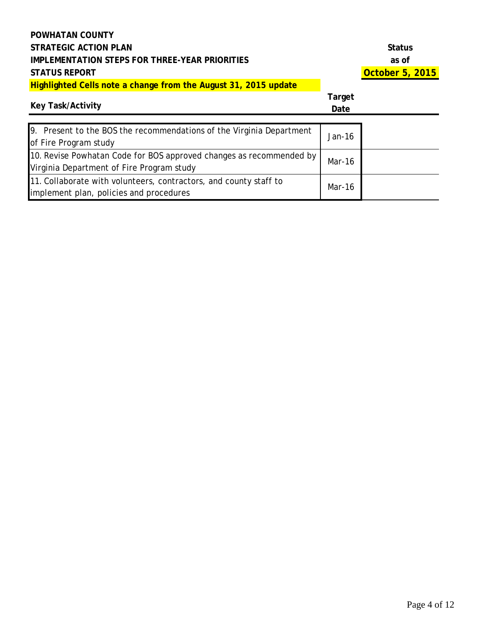# **Key Task/Activity**

**Target** 

| <b>Key Task/Activity</b>                                                                                         | Date   |  |
|------------------------------------------------------------------------------------------------------------------|--------|--|
| 9. Present to the BOS the recommendations of the Virginia Department<br>of Fire Program study                    | Jan-16 |  |
| 10. Revise Powhatan Code for BOS approved changes as recommended by<br>Virginia Department of Fire Program study | Mar-16 |  |
| 11. Collaborate with volunteers, contractors, and county staff to<br>implement plan, policies and procedures     | Mar-16 |  |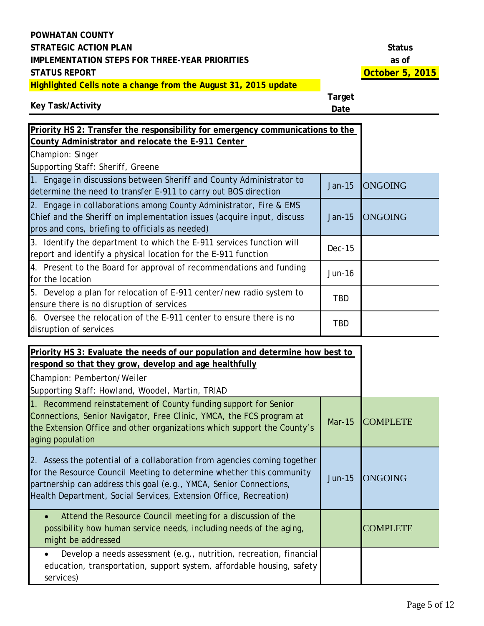# **Key Task/Activity**

| Priority HS 2: Transfer the responsibility for emergency communications to the                                                                                                                                                         |               |                 |
|----------------------------------------------------------------------------------------------------------------------------------------------------------------------------------------------------------------------------------------|---------------|-----------------|
| County Administrator and relocate the E-911 Center                                                                                                                                                                                     |               |                 |
| Champion: Singer                                                                                                                                                                                                                       |               |                 |
| Supporting Staff: Sheriff, Greene                                                                                                                                                                                                      |               |                 |
| 1. Engage in discussions between Sheriff and County Administrator to<br>determine the need to transfer E-911 to carry out BOS direction                                                                                                | <b>Jan-15</b> | <b>ONGOING</b>  |
| Engage in collaborations among County Administrator, Fire & EMS<br>2.<br>Chief and the Sheriff on implementation issues (acquire input, discuss<br>pros and cons, briefing to officials as needed)                                     | <b>Jan-15</b> | <b>ONGOING</b>  |
| 3. Identify the department to which the E-911 services function will<br>report and identify a physical location for the E-911 function                                                                                                 | <b>Dec-15</b> |                 |
| 4. Present to the Board for approval of recommendations and funding<br>for the location                                                                                                                                                | <b>Jun-16</b> |                 |
| 5. Develop a plan for relocation of E-911 center/new radio system to<br>ensure there is no disruption of services                                                                                                                      | <b>TBD</b>    |                 |
| 6. Oversee the relocation of the E-911 center to ensure there is no<br>disruption of services                                                                                                                                          | <b>TBD</b>    |                 |
| Priority HS 3: Evaluate the needs of our population and determine how best to<br>respond so that they grow, develop and age healthfully<br>Champion: Pemberton/Weiler<br>Supporting Staff: Howland, Woodel, Martin, TRIAD              |               |                 |
| 1. Recommend reinstatement of County funding support for Senior<br>Connections, Senior Navigator, Free Clinic, YMCA, the FCS program at<br>the Extension Office and other organizations which support the County's<br>aging population | <b>Mar-15</b> | <b>COMPLETE</b> |
| 2. Assess the potential of a collaboration from agencies coming together<br>for the Resource Council Meeting to determine whether this community<br>partnership can address this goal (e.g., YMCA, Senior Connections,                 | <b>Jun-15</b> | <b>ONGOING</b>  |

| Health Department, Social Services, Extension Office, Recreation)                                                                                                    |                 |
|----------------------------------------------------------------------------------------------------------------------------------------------------------------------|-----------------|
| Attend the Resource Council meeting for a discussion of the<br>$\bullet$<br>possibility how human service needs, including needs of the aging,<br>might be addressed | <b>COMPLETE</b> |
| Develop a needs assessment (e.g., nutrition, recreation, financial)<br>education, transportation, support system, affordable housing, safety<br>services)            |                 |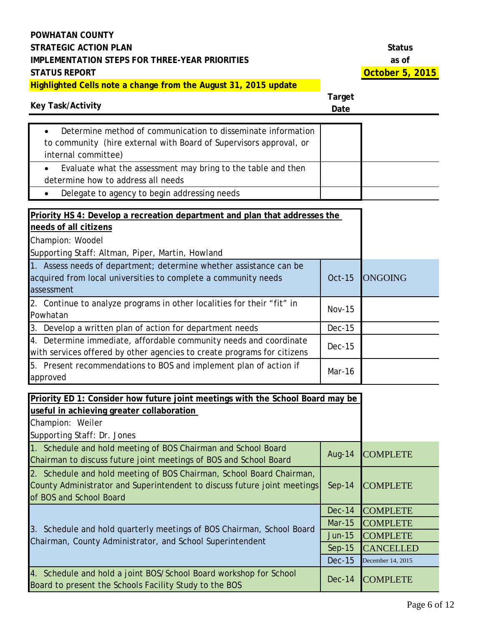| <b>Key Task/Activity</b>                                                                                                                                                       | <b>Target</b><br>Date |                   |
|--------------------------------------------------------------------------------------------------------------------------------------------------------------------------------|-----------------------|-------------------|
| Determine method of communication to disseminate information<br>to community (hire external with Board of Supervisors approval, or<br>internal committee)                      |                       |                   |
| Evaluate what the assessment may bring to the table and then<br>$\bullet$<br>determine how to address all needs                                                                |                       |                   |
| Delegate to agency to begin addressing needs                                                                                                                                   |                       |                   |
| Priority HS 4: Develop a recreation department and plan that addresses the<br>needs of all citizens<br>Champion: Woodel<br>Supporting Staff: Altman, Piper, Martin, Howland    |                       |                   |
| 1. Assess needs of department; determine whether assistance can be<br>acquired from local universities to complete a community needs<br>assessment                             | <b>Oct-15</b>         | <b>ONGOING</b>    |
| 2. Continue to analyze programs in other localities for their "fit" in<br>Powhatan                                                                                             | <b>Nov-15</b>         |                   |
| 3. Develop a written plan of action for department needs                                                                                                                       | <b>Dec-15</b>         |                   |
| 4. Determine immediate, affordable community needs and coordinate<br>with services offered by other agencies to create programs for citizens                                   | <b>Dec-15</b>         |                   |
| 5. Present recommendations to BOS and implement plan of action if<br>approved                                                                                                  | Mar-16                |                   |
| Priority ED 1: Consider how future joint meetings with the School Board may be<br>useful in achieving greater collaboration<br>Champion: Weiler<br>Supporting Staff: Dr. Jones |                       |                   |
| 1. Schedule and hold meeting of BOS Chairman and School Board<br>Chairman to discuss future joint meetings of BOS and School Board                                             | <b>Aug-14</b>         | <b>COMPLETE</b>   |
| 2. Schedule and hold meeting of BOS Chairman, School Board Chairman,<br>County Administrator and Superintendent to discuss future joint meetings<br>of BOS and School Board    | $Sep-14$              | <b>COMPLETE</b>   |
|                                                                                                                                                                                | <b>Dec-14</b>         | <b>COMPLETE</b>   |
| 3. Schedule and hold quarterly meetings of BOS Chairman, School Board                                                                                                          | <b>Mar-15</b>         | <b>COMPLETE</b>   |
| Chairman, County Administrator, and School Superintendent                                                                                                                      | <b>Jun-15</b>         | <b>COMPLETE</b>   |
|                                                                                                                                                                                | $Sep-15$              | <b>CANCELLED</b>  |
|                                                                                                                                                                                | <b>Dec-15</b>         | December 14, 2015 |
| 4. Schedule and hold a joint BOS/School Board workshop for School<br>Board to present the Schools Facility Study to the BOS                                                    | <b>Dec-14</b>         | <b>COMPLETE</b>   |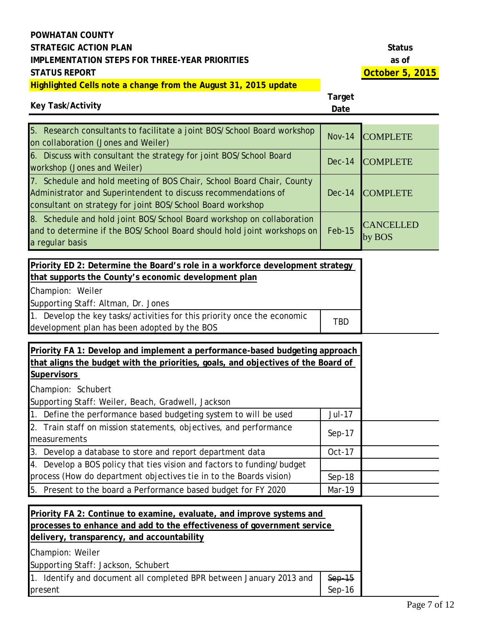# **Key Task/Activity**

| 5. Research consultants to facilitate a joint BOS/School Board workshop<br>on collaboration (Jones and Weiler)                                                                                        | $Nov-14$ | <b>COMPLETE</b>            |
|-------------------------------------------------------------------------------------------------------------------------------------------------------------------------------------------------------|----------|----------------------------|
| 6. Discuss with consultant the strategy for joint BOS/School Board<br>workshop (Jones and Weiler)                                                                                                     | $Dec-14$ | <b>COMPLETE</b>            |
| 7. Schedule and hold meeting of BOS Chair, School Board Chair, County<br>Administrator and Superintendent to discuss recommendations of<br>consultant on strategy for joint BOS/School Board workshop | $Dec-14$ | <b>COMPLETE</b>            |
| 8. Schedule and hold joint BOS/School Board workshop on collaboration<br>and to determine if the BOS/School Board should hold joint workshops on<br>a regular basis                                   | $Feb-15$ | <b>CANCELLED</b><br>by BOS |

| Priority ED 2: Determine the Board's role in a workforce development strategy |            |
|-------------------------------------------------------------------------------|------------|
| that supports the County's economic development plan                          |            |
| Champion: Weiler                                                              |            |
| Supporting Staff: Altman, Dr. Jones                                           |            |
| 1. Develop the key tasks/activities for this priority once the economic       | <b>TBD</b> |
| development plan has been adopted by the BOS                                  |            |

| Priority FA 1: Develop and implement a performance-based budgeting approach       |               |  |
|-----------------------------------------------------------------------------------|---------------|--|
| that aligns the budget with the priorities, goals, and objectives of the Board of |               |  |
| <b>Supervisors</b>                                                                |               |  |
| Champion: Schubert                                                                |               |  |
| Supporting Staff: Weiler, Beach, Gradwell, Jackson                                |               |  |
| 1. Define the performance based budgeting system to will be used                  | <b>Jul-17</b> |  |
| 2. Train staff on mission statements, objectives, and performance                 | $Sep-17$      |  |
| measurements                                                                      |               |  |
| 3. Develop a database to store and report department data                         | Oct-17        |  |
| 4. Develop a BOS policy that ties vision and factors to funding/budget            |               |  |
| process (How do department objectives tie in to the Boards vision)                | $Sep-18$      |  |
| 5. Present to the board a Performance based budget for FY 2020                    | Mar-19        |  |

| <b>Priority FA 2: Continue to examine, evaluate, and improve systems and</b> |          |  |
|------------------------------------------------------------------------------|----------|--|
| processes to enhance and add to the effectiveness of government service      |          |  |
| delivery, transparency, and accountability                                   |          |  |
| Champion: Weiler                                                             |          |  |
| Supporting Staff: Jackson, Schubert                                          |          |  |
| 1. Identify and document all completed BPR between January 2013 and          | $Sep-15$ |  |
| $Sep-16$<br>present                                                          |          |  |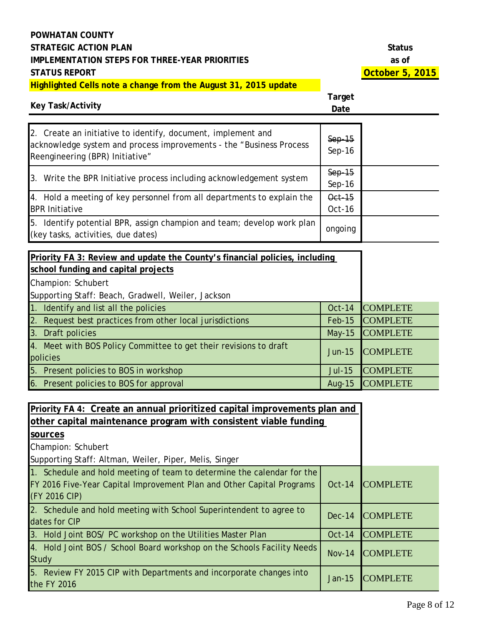# **Key Task/Activity**

| 2. Create an initiative to identify, document, implement and<br>acknowledge system and process improvements - the "Business Process"<br>Reengineering (BPR) Initiative" | $Sep-15$<br>$Sep-16$ |  |
|-------------------------------------------------------------------------------------------------------------------------------------------------------------------------|----------------------|--|
| 3. Write the BPR Initiative process including acknowledgement system                                                                                                    | $Sep-15$<br>$Sep-16$ |  |
| 4. Hold a meeting of key personnel from all departments to explain the<br><b>BPR Initiative</b>                                                                         | Oct-15<br>Oct-16     |  |
| 5. Identify potential BPR, assign champion and team; develop work plan<br>(key tasks, activities, due dates)                                                            | ongoing              |  |
|                                                                                                                                                                         |                      |  |

| Priority FA 3: Review and update the County's financial policies, including   |               |                 |
|-------------------------------------------------------------------------------|---------------|-----------------|
| school funding and capital projects                                           |               |                 |
| Champion: Schubert                                                            |               |                 |
| Supporting Staff: Beach, Gradwell, Weiler, Jackson                            |               |                 |
| 1. Identify and list all the policies                                         | <b>Oct-14</b> | <b>COMPLETE</b> |
| 2. Request best practices from other local jurisdictions                      | Feb-15        | <b>COMPLETE</b> |
| 3. Draft policies                                                             | $May-15$      | <b>COMPLETE</b> |
| 4. Meet with BOS Policy Committee to get their revisions to draft<br>policies | $Jun-15$      | <b>COMPLETE</b> |
| 5. Present policies to BOS in workshop                                        | $Jul-15$      | <b>COMPLETE</b> |
| 6. Present policies to BOS for approval                                       | Aug- $15$     | <b>COMPLETE</b> |

| Priority FA 4: Create an annual prioritized capital improvements plan and<br>other capital maintenance program with consistent viable funding                    |               |                 |
|------------------------------------------------------------------------------------------------------------------------------------------------------------------|---------------|-----------------|
| sources                                                                                                                                                          |               |                 |
| Champion: Schubert                                                                                                                                               |               |                 |
| Supporting Staff: Altman, Weiler, Piper, Melis, Singer                                                                                                           |               |                 |
| 1. Schedule and hold meeting of team to determine the calendar for the<br>FY 2016 Five-Year Capital Improvement Plan and Other Capital Programs<br>(FY 2016 CIP) | Oct-14        | <b>COMPLETE</b> |
| 2. Schedule and hold meeting with School Superintendent to agree to<br>dates for CIP                                                                             | $Dec-14$      | <b>COMPLETE</b> |
| 3. Hold Joint BOS/ PC workshop on the Utilities Master Plan                                                                                                      | $Oct-14$      | <b>COMPLETE</b> |
| 4. Hold Joint BOS / School Board workshop on the Schools Facility Needs<br>Study                                                                                 | <b>Nov-14</b> | <b>COMPLETE</b> |
| 5. Review FY 2015 CIP with Departments and incorporate changes into<br>the FY 2016                                                                               | Jan-15        | <b>COMPLETE</b> |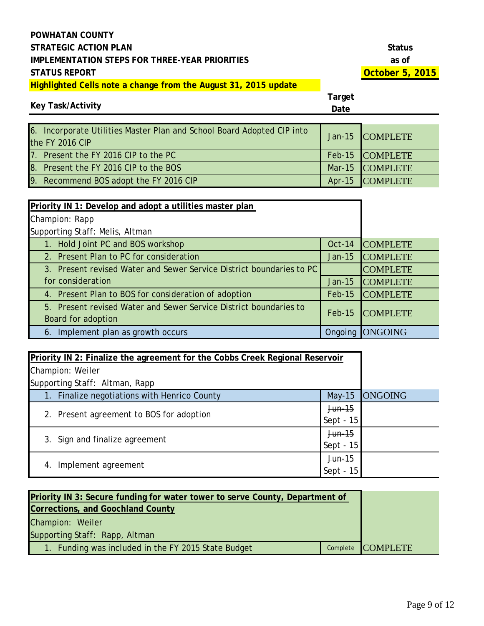### **Key Task/Activity**

| 6. Incorporate Utilities Master Plan and School Board Adopted CIP into<br>the FY 2016 CIP | Jan-15 COMPLETE |
|-------------------------------------------------------------------------------------------|-----------------|
| 7. Present the FY 2016 CIP to the PC                                                      | Feb-15 COMPLETE |
| 8. Present the FY 2016 CIP to the BOS                                                     | Mar-15 COMPLETE |
| 9. Recommend BOS adopt the FY 2016 CIP                                                    | Apr-15 COMPLETE |

| Priority IN 1: Develop and adopt a utilities master plan             |          |                 |
|----------------------------------------------------------------------|----------|-----------------|
| Champion: Rapp                                                       |          |                 |
| Supporting Staff: Melis, Altman                                      |          |                 |
| 1. Hold Joint PC and BOS workshop                                    | Oct-14   | <b>COMPLETE</b> |
| 2. Present Plan to PC for consideration                              | $Jan-15$ | <b>COMPLETE</b> |
| 3. Present revised Water and Sewer Service District boundaries to PC |          | <b>COMPLETE</b> |
| for consideration                                                    | $Jan-15$ | <b>COMPLETE</b> |
| 4. Present Plan to BOS for consideration of adoption                 | $Feb-15$ | <b>COMPLETE</b> |
| 5. Present revised Water and Sewer Service District boundaries to    | $Feb-15$ | <b>COMPLETE</b> |
| Board for adoption                                                   |          |                 |
| 6. Implement plan as growth occurs                                   | Ongoing  | <b>ONGOING</b>  |

| Priority IN 2: Finalize the agreement for the Cobbs Creek Regional Reservoir |             |                |
|------------------------------------------------------------------------------|-------------|----------------|
| Champion: Weiler                                                             |             |                |
| Supporting Staff: Altman, Rapp                                               |             |                |
| 1. Finalize negotiations with Henrico County                                 | $May-15$    | <b>ONGOING</b> |
|                                                                              | $Jun-15$    |                |
| 2. Present agreement to BOS for adoption                                     | Sept - $15$ |                |
| 3. Sign and finalize agreement                                               | $Jun-15$    |                |
|                                                                              | Sept - 15   |                |
|                                                                              | $Jun-15$    |                |
| Implement agreement<br>4.                                                    | Sept -      |                |

| <b>Priority IN 3: Secure funding for water tower to serve County, Department of</b> |  |                   |
|-------------------------------------------------------------------------------------|--|-------------------|
| <b>Corrections, and Goochland County</b>                                            |  |                   |
| Champion: Weiler                                                                    |  |                   |
| Supporting Staff: Rapp, Altman                                                      |  |                   |
| 1. Funding was included in the FY 2015 State Budget                                 |  | Complete COMPLETE |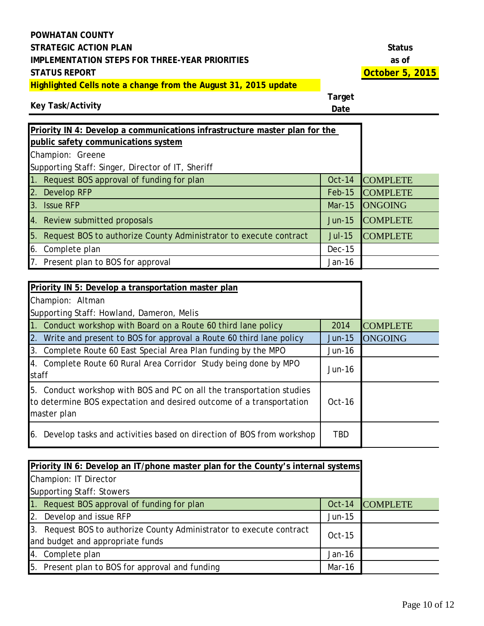# **Key Task/Activity**

| Priority IN 4: Develop a communications infrastructure master plan for the |               |                 |
|----------------------------------------------------------------------------|---------------|-----------------|
| public safety communications system                                        |               |                 |
| Champion: Greene                                                           |               |                 |
| Supporting Staff: Singer, Director of IT, Sheriff                          |               |                 |
| 1. Request BOS approval of funding for plan                                | <b>Oct-14</b> | <b>COMPLETE</b> |
| 2. Develop RFP                                                             | $Feb-15$      | <b>COMPLETE</b> |
| 3. Issue RFP                                                               | <b>Mar-15</b> | <b>ONGOING</b>  |
| 4. Review submitted proposals                                              | $Jun-15$      | <b>COMPLETE</b> |
| 5. Request BOS to authorize County Administrator to execute contract       | <b>Jul-15</b> | <b>COMPLETE</b> |
| 6. Complete plan                                                           | $Dec-15$      |                 |
| 7. Present plan to BOS for approval                                        | Jan-16        |                 |

| Priority IN 5: Develop a transportation master plan                                                                                                          |            |                 |
|--------------------------------------------------------------------------------------------------------------------------------------------------------------|------------|-----------------|
| Champion: Altman                                                                                                                                             |            |                 |
| Supporting Staff: Howland, Dameron, Melis                                                                                                                    |            |                 |
| 1. Conduct workshop with Board on a Route 60 third lane policy                                                                                               | 2014       | <b>COMPLETE</b> |
| 2. Write and present to BOS for approval a Route 60 third lane policy                                                                                        | $Jun-15$   | <b>ONGOING</b>  |
| 3. Complete Route 60 East Special Area Plan funding by the MPO                                                                                               | Jun-16     |                 |
| 4. Complete Route 60 Rural Area Corridor Study being done by MPO<br>staff                                                                                    | $Jun-16$   |                 |
| 5. Conduct workshop with BOS and PC on all the transportation studies<br>to determine BOS expectation and desired outcome of a transportation<br>master plan | $Oct-16$   |                 |
| Develop tasks and activities based on direction of BOS from workshop<br>6.                                                                                   | <b>TBD</b> |                 |

| Priority IN 6: Develop an IT/phone master plan for the County's internal systems                         |          |                 |
|----------------------------------------------------------------------------------------------------------|----------|-----------------|
| Champion: IT Director                                                                                    |          |                 |
| <b>Supporting Staff: Stowers</b>                                                                         |          |                 |
| 1. Request BOS approval of funding for plan                                                              | Oct-14   | <b>COMPLETE</b> |
| 2. Develop and issue RFP                                                                                 | Jun-15   |                 |
| 3. Request BOS to authorize County Administrator to execute contract<br>and budget and appropriate funds | $Oct-15$ |                 |
| 4. Complete plan                                                                                         | Jan-16   |                 |
| 5. Present plan to BOS for approval and funding                                                          | Mar-16   |                 |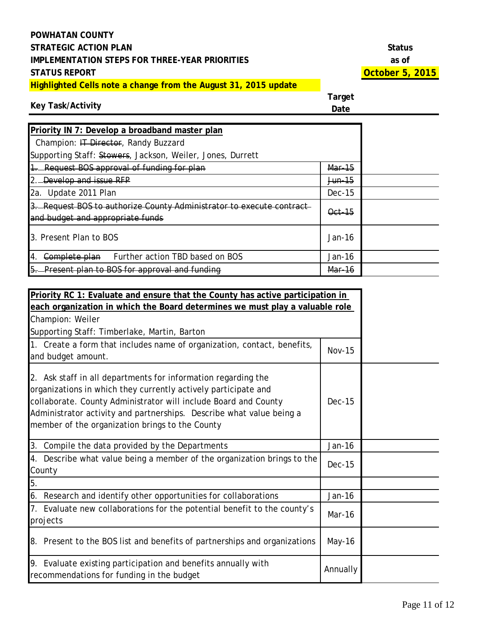# **Key Task/Activity**

| Priority IN 7: Develop a broadband master plan                                                           |                   |  |
|----------------------------------------------------------------------------------------------------------|-------------------|--|
| Champion: IT Director, Randy Buzzard                                                                     |                   |  |
| Supporting Staff: Stowers, Jackson, Weiler, Jones, Durrett                                               |                   |  |
| 1. Request BOS approval of funding for plan                                                              | Mar-15            |  |
| 2. Develop and issue RFP                                                                                 | <del>Jun-15</del> |  |
| 2a. Update 2011 Plan                                                                                     | $Dec-15$          |  |
| 3. Request BOS to authorize County Administrator to execute contract<br>and budget and appropriate funds | Oct 15            |  |
| 3. Present Plan to BOS                                                                                   | $Jan-16$          |  |
| Complete plan Further action TBD based on BOS<br>14.                                                     | Jan-16            |  |
| 5. Present plan to BOS for approval and funding                                                          | Mar-16            |  |

| Priority RC 1: Evaluate and ensure that the County has active participation in                                                                                                                                                                                                                                                |               |  |
|-------------------------------------------------------------------------------------------------------------------------------------------------------------------------------------------------------------------------------------------------------------------------------------------------------------------------------|---------------|--|
| each organization in which the Board determines we must play a valuable role                                                                                                                                                                                                                                                  |               |  |
| Champion: Weiler                                                                                                                                                                                                                                                                                                              |               |  |
| Supporting Staff: Timberlake, Martin, Barton                                                                                                                                                                                                                                                                                  |               |  |
| 1. Create a form that includes name of organization, contact, benefits,<br>and budget amount.                                                                                                                                                                                                                                 | <b>Nov-15</b> |  |
| 2. Ask staff in all departments for information regarding the<br>organizations in which they currently actively participate and<br>collaborate. County Administrator will include Board and County<br>Administrator activity and partnerships. Describe what value being a<br>member of the organization brings to the County | <b>Dec-15</b> |  |
| 3. Compile the data provided by the Departments                                                                                                                                                                                                                                                                               | Jan-16        |  |
| 4. Describe what value being a member of the organization brings to the<br>County                                                                                                                                                                                                                                             | <b>Dec-15</b> |  |
| 5.                                                                                                                                                                                                                                                                                                                            |               |  |
| 6. Research and identify other opportunities for collaborations                                                                                                                                                                                                                                                               | Jan-16        |  |
| 7. Evaluate new collaborations for the potential benefit to the county's<br>projects                                                                                                                                                                                                                                          | Mar-16        |  |
| 8. Present to the BOS list and benefits of partnerships and organizations                                                                                                                                                                                                                                                     | May-16        |  |
| 9. Evaluate existing participation and benefits annually with<br>recommendations for funding in the budget                                                                                                                                                                                                                    | Annually      |  |